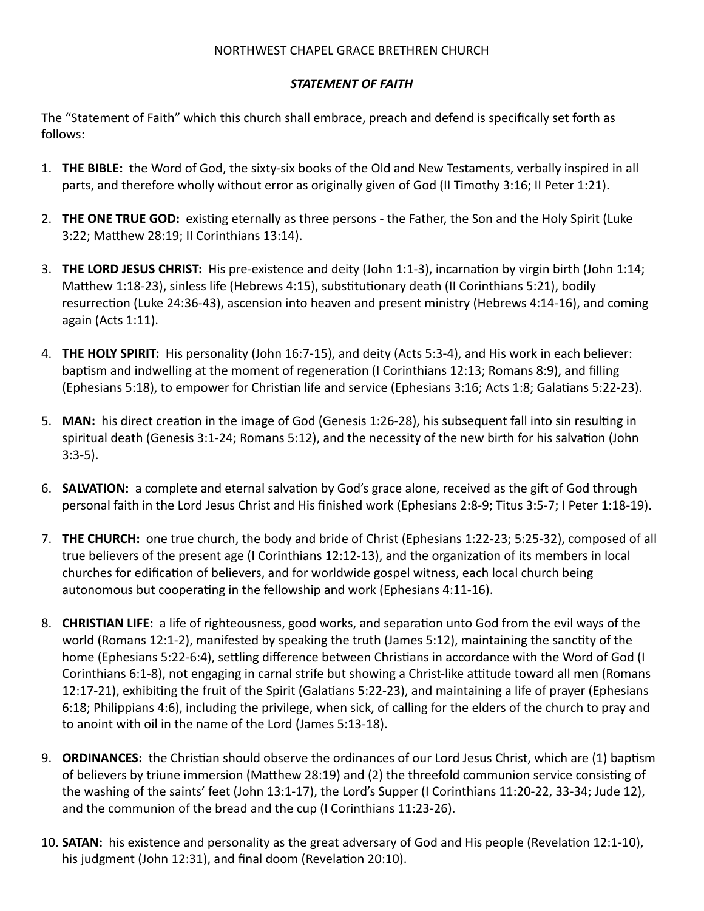## NORTHWEST CHAPEL GRACE BRETHREN CHURCH

## *STATEMENT OF FAITH*

The "Statement of Faith" which this church shall embrace, preach and defend is specifically set forth as follows:

- 1. **THE BIBLE:** the Word of God, the sixty-six books of the Old and New Testaments, verbally inspired in all parts, and therefore wholly without error as originally given of God (II Timothy 3:16; II Peter 1:21).
- 2. **THE ONE TRUE GOD:** existing eternally as three persons the Father, the Son and the Holy Spirit (Luke 3:22; Matthew 28:19; II Corinthians 13:14).
- 3. **THE LORD JESUS CHRIST:** His pre-existence and deity (John 1:1-3), incarnation by virgin birth (John 1:14; Matthew 1:18-23), sinless life (Hebrews 4:15), substitutionary death (II Corinthians 5:21), bodily resurrection (Luke 24:36-43), ascension into heaven and present ministry (Hebrews 4:14-16), and coming again (Acts 1:11).
- 4. **THE HOLY SPIRIT:** His personality (John 16:7-15), and deity (Acts 5:3-4), and His work in each believer: baptism and indwelling at the moment of regeneration (I Corinthians 12:13; Romans 8:9), and filling (Ephesians 5:18), to empower for Christian life and service (Ephesians 3:16; Acts 1:8; Galatians 5:22-23).
- 5. MAN: his direct creation in the image of God (Genesis 1:26-28), his subsequent fall into sin resulting in spiritual death (Genesis 3:1-24; Romans 5:12), and the necessity of the new birth for his salvation (John 3:3-5).
- 6. **SALVATION:** a complete and eternal salvation by God's grace alone, received as the gift of God through personal faith in the Lord Jesus Christ and His finished work (Ephesians 2:8-9; Titus 3:5-7; I Peter 1:18-19).
- 7. **THE CHURCH:** one true church, the body and bride of Christ (Ephesians 1:22-23; 5:25-32), composed of all true believers of the present age (I Corinthians 12:12-13), and the organization of its members in local churches for edification of believers, and for worldwide gospel witness, each local church being autonomous but cooperating in the fellowship and work (Ephesians 4:11-16).
- 8. **CHRISTIAN LIFE:** a life of righteousness, good works, and separation unto God from the evil ways of the world (Romans 12:1-2), manifested by speaking the truth (James 5:12), maintaining the sanctity of the home (Ephesians 5:22-6:4), settling difference between Christians in accordance with the Word of God (I Corinthians 6:1-8), not engaging in carnal strife but showing a Christ-like attitude toward all men (Romans 12:17-21), exhibiting the fruit of the Spirit (Galatians 5:22-23), and maintaining a life of prayer (Ephesians 6:18; Philippians 4:6), including the privilege, when sick, of calling for the elders of the church to pray and to anoint with oil in the name of the Lord (James 5:13-18).
- 9. **ORDINANCES:** the Christian should observe the ordinances of our Lord Jesus Christ, which are (1) baptism of believers by triune immersion (Matthew 28:19) and (2) the threefold communion service consisting of the washing of the saints' feet (John 13:1-17), the Lord's Supper (I Corinthians 11:20-22, 33-34; Jude 12), and the communion of the bread and the cup (I Corinthians 11:23-26).
- 10. **SATAN:** his existence and personality as the great adversary of God and His people (Revelation 12:1-10), his judgment (John 12:31), and final doom (Revelation 20:10).